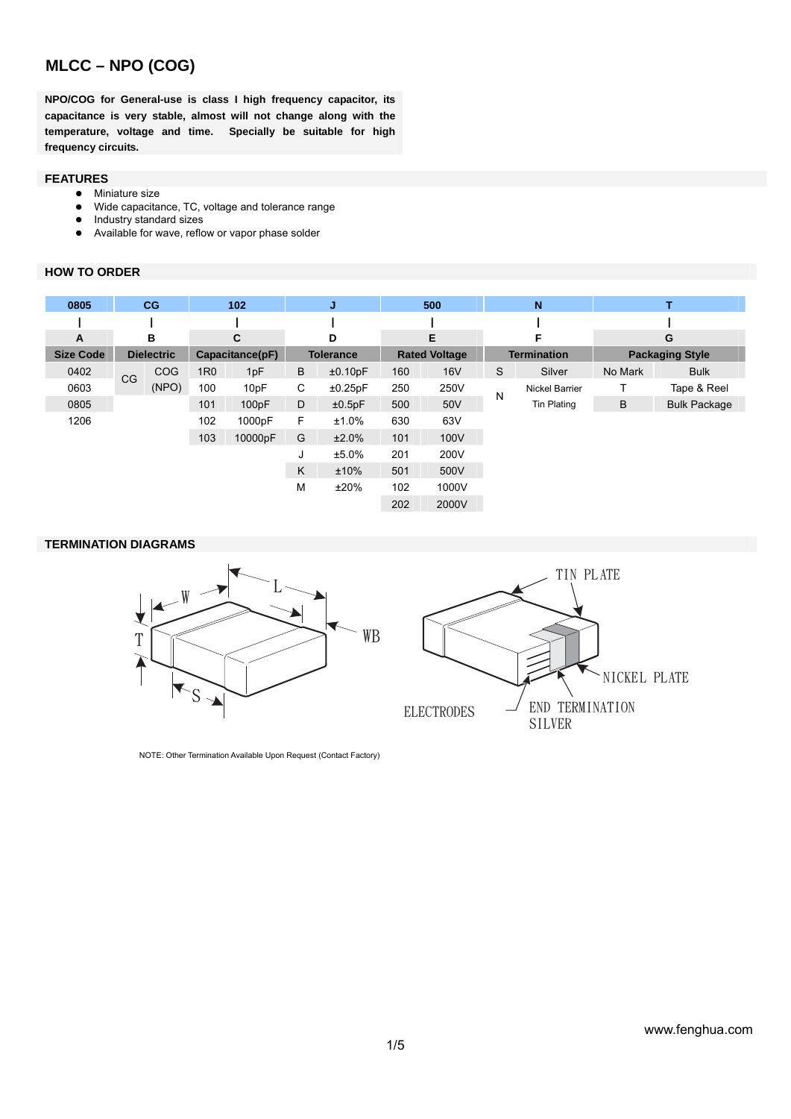**NPO/COG for General-use is class I high frequency capacitor, its capacitance is very stable, almost will not change along with the temperature, voltage and time. Specially be suitable for high frequency circuits.** 

#### **FEATURES**

- **•** Miniature size
- Wide capacitance, TC, voltage and tolerance range
- Industry standard sizes
- Available for wave, reflow or vapor phase solder

#### **HOW TO ORDER**

| 0805             |           | CG                |            | 102             |        | J                |     | 500                  |   | $\mathbf N$        |         | т                      |
|------------------|-----------|-------------------|------------|-----------------|--------|------------------|-----|----------------------|---|--------------------|---------|------------------------|
|                  |           |                   |            |                 |        |                  |     |                      |   |                    |         |                        |
| A                |           | в                 |            | C               | Е<br>D |                  | F   |                      | G |                    |         |                        |
| <b>Size Code</b> |           | <b>Dielectric</b> |            | Capacitance(pF) |        | <b>Tolerance</b> |     | <b>Rated Voltage</b> |   | <b>Termination</b> |         | <b>Packaging Style</b> |
| 0402             | <b>CG</b> | <b>COG</b>        | <b>1R0</b> | 1pF             | B      | ±0.10pF          | 160 | <b>16V</b>           | S | Silver             | No Mark | <b>Bulk</b>            |
| 0603             |           | (NPO)             | 100        | 10pF            | С      | ±0.25pF          | 250 | 250V                 | N | Nickel Barrier     |         | Tape & Reel            |
| 0805             |           |                   | 101        | 100pF           | D      | ±0.5pF           | 500 | 50V                  |   | <b>Tin Plating</b> | B       | <b>Bulk Package</b>    |
| 1206             |           |                   | 102        | 1000pF          | F      | ±1.0%            | 630 | 63V                  |   |                    |         |                        |
|                  |           |                   | 103        | 10000pF         | G      | ±2.0%            | 101 | 100V                 |   |                    |         |                        |
|                  |           |                   |            |                 | J      | ±5.0%            | 201 | 200V                 |   |                    |         |                        |
|                  |           |                   |            |                 | K      | ±10%             | 501 | 500V                 |   |                    |         |                        |
|                  |           |                   |            |                 | M      | ±20%             | 102 | 1000V                |   |                    |         |                        |
|                  |           |                   |            |                 |        |                  | 202 | 2000V                |   |                    |         |                        |

#### **TERMINATION DIAGRAMS**



NOTE: Other Termination Available Upon Request (Contact Factory)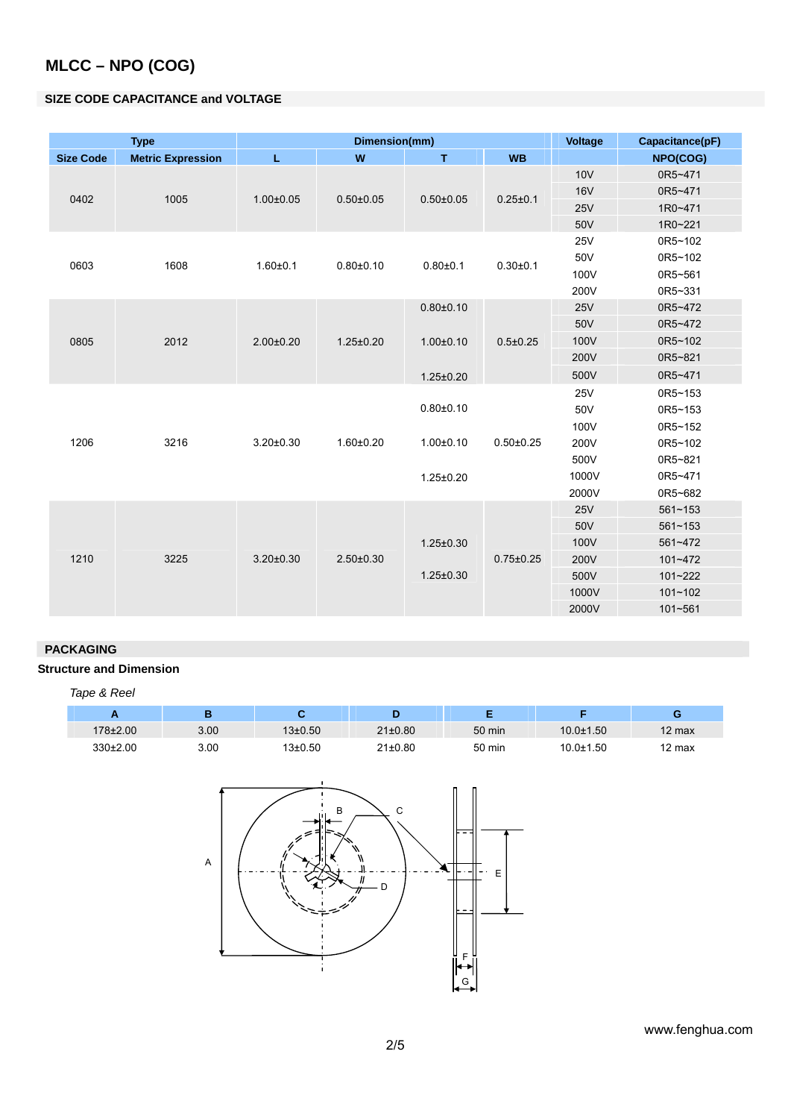### **SIZE CODE CAPACITANCE and VOLTAGE**

|                  | <b>Type</b>              |                 | Dimension(mm)                      | Voltage         | Capacitance(pF)                                                                        |            |             |
|------------------|--------------------------|-----------------|------------------------------------|-----------------|----------------------------------------------------------------------------------------|------------|-------------|
| <b>Size Code</b> | <b>Metric Expression</b> | L               | W                                  | $\mathbf T$     | <b>WB</b>                                                                              |            | NPO(COG)    |
|                  |                          |                 |                                    |                 |                                                                                        | <b>10V</b> | 0R5~471     |
| 0402             |                          | $1.00 \pm 0.05$ |                                    | $0.50 \pm 0.05$ |                                                                                        | <b>16V</b> | 0R5~471     |
|                  | 1005                     |                 | $0.50 \pm 0.05$                    |                 |                                                                                        | 25V        | 1R0~471     |
|                  |                          |                 |                                    |                 | $0.25 \pm 0.1$<br>$0.30 + 0.1$<br>$0.5 \pm 0.25$<br>$0.50 \pm 0.25$<br>$0.75 \pm 0.25$ | 50V        | 1R0~221     |
|                  |                          |                 |                                    |                 |                                                                                        | <b>25V</b> | 0R5~102     |
| 0603             | 1608                     | $1.60 + 0.1$    | $0.80 + 0.10$                      | $0.80 + 0.1$    |                                                                                        | 50V        | 0R5~102     |
|                  |                          |                 |                                    |                 |                                                                                        | 100V       | 0R5~561     |
|                  |                          |                 |                                    |                 |                                                                                        | 200V       | 0R5~331     |
|                  |                          |                 |                                    | $0.80{\pm}0.10$ |                                                                                        | <b>25V</b> | 0R5~472     |
|                  |                          |                 | $2.00 \pm 0.20$<br>$1.25 \pm 0.20$ |                 |                                                                                        | 50V        | 0R5~472     |
| 0805             | 2012                     |                 |                                    | $1.00 \pm 0.10$ |                                                                                        | 100V       | 0R5~102     |
|                  |                          |                 |                                    |                 |                                                                                        | 200V       | 0R5~821     |
|                  |                          |                 |                                    | $1.25 \pm 0.20$ |                                                                                        | 500V       | 0R5~471     |
|                  |                          |                 |                                    |                 |                                                                                        | <b>25V</b> | 0R5~153     |
|                  |                          |                 |                                    | $0.80 + 0.10$   |                                                                                        | 50V        | 0R5~153     |
|                  |                          |                 |                                    |                 |                                                                                        | 100V       | 0R5~152     |
| 1206             | 3216                     | $3.20 \pm 0.30$ | $1.60 + 0.20$                      | $1.00 \pm 0.10$ |                                                                                        | 200V       | 0R5~102     |
|                  |                          |                 |                                    |                 |                                                                                        | 500V       | 0R5~821     |
|                  |                          |                 |                                    | $1.25 \pm 0.20$ |                                                                                        | 1000V      | 0R5~471     |
|                  |                          |                 |                                    |                 |                                                                                        | 2000V      | 0R5~682     |
|                  |                          |                 |                                    |                 |                                                                                        | <b>25V</b> | $561 - 153$ |
|                  |                          |                 |                                    |                 |                                                                                        | 50V        | $561 - 153$ |
|                  |                          |                 |                                    | $1.25 \pm 0.30$ |                                                                                        | 100V       | 561~472     |
| 1210             | 3225                     | $3.20 \pm 0.30$ | $2.50 \pm 0.30$                    |                 |                                                                                        | 200V       | 101~472     |
|                  |                          |                 |                                    | $1.25 \pm 0.30$ |                                                                                        | 500V       | 101~222     |
|                  |                          |                 |                                    |                 |                                                                                        | 1000V      | $101 - 102$ |
|                  |                          |                 |                                    |                 |                                                                                        | 2000V      | 101~561     |

### **PACKAGING**

#### **Structure and Dimension**

| Tape & Reel  |      |             |               |        |                 |                  |
|--------------|------|-------------|---------------|--------|-----------------|------------------|
|              | в    |             |               | E      |                 | G                |
| 178±2.00     | 3.00 | $13\pm0.50$ | $21 \pm 0.80$ | 50 min | $10.0 \pm 1.50$ | $12 \text{ max}$ |
| $330\pm2.00$ | 3.00 | $13\pm0.50$ | $21 \pm 0.80$ | 50 min | $10.0 + 1.50$   | 12 max           |



www.fenghua.com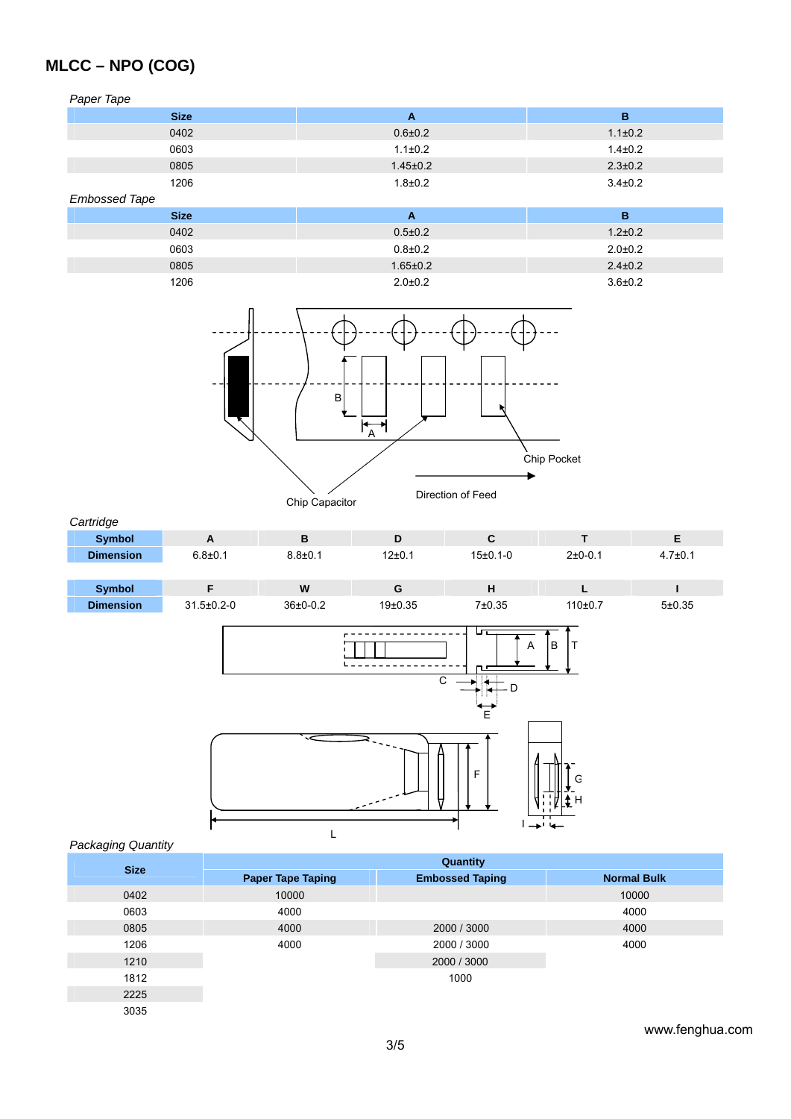*Paper Tape* 

| <b>Size</b> | A              | в             |  |  |  |  |  |
|-------------|----------------|---------------|--|--|--|--|--|
| 0402        | $0.6{\pm}0.2$  | $1.1 \pm 0.2$ |  |  |  |  |  |
| 0603        | $1.1 \pm 0.2$  | $1.4 \pm 0.2$ |  |  |  |  |  |
| 0805        | $1.45 \pm 0.2$ | $2.3 \pm 0.2$ |  |  |  |  |  |
| 1206        | $1.8 + 0.2$    | $3.4 \pm 0.2$ |  |  |  |  |  |

*Embossed Tape*

| LIINUSSUU TAPU |               |  |  |  |  |  |  |
|----------------|---------------|--|--|--|--|--|--|
|                | в             |  |  |  |  |  |  |
| $0.5 \pm 0.2$  | $1.2 \pm 0.2$ |  |  |  |  |  |  |
| $0.8 + 0.2$    | $2.0 \pm 0.2$ |  |  |  |  |  |  |
| $1.65 \pm 0.2$ | $2.4 \pm 0.2$ |  |  |  |  |  |  |
| $2.0 \pm 0.2$  | $3.6 \pm 0.2$ |  |  |  |  |  |  |
|                |               |  |  |  |  |  |  |



*Cartridge* 

| sarango          |             |               |            |            |                                 |               |
|------------------|-------------|---------------|------------|------------|---------------------------------|---------------|
| <b>Symbol</b>    | <u>r</u>    |               |            |            |                                 |               |
| <b>Dimension</b> | $6.8 + 0.1$ | $8.8{\pm}0.1$ | $12\pm0.1$ | $15±0.1-0$ | $2+0-0.1$                       | $4.7 \pm 0.1$ |
|                  |             |               |            |            |                                 |               |
| ______           | $-$         | ----          |            |            | the contract of the contract of | ___           |

| Svmbol    |                    | W          |                      |        |         |        |
|-----------|--------------------|------------|----------------------|--------|---------|--------|
| Dimension | $31.5 \pm 0.2 - 0$ | $36±0-0.2$ | 19 <sub>±</sub> 0.35 | 7±0.35 | 110±0.7 | 5±0.35 |



*Packaging Quantity* 

| <b>Size</b> | Quantity                 |                                                                             |                    |  |  |  |  |
|-------------|--------------------------|-----------------------------------------------------------------------------|--------------------|--|--|--|--|
|             | <b>Paper Tape Taping</b> | <b>Embossed Taping</b><br>2000 / 3000<br>2000 / 3000<br>2000 / 3000<br>1000 | <b>Normal Bulk</b> |  |  |  |  |
| 0402        | 10000                    |                                                                             | 10000              |  |  |  |  |
| 0603        | 4000                     |                                                                             | 4000               |  |  |  |  |
| 0805        | 4000                     |                                                                             | 4000               |  |  |  |  |
| 1206        | 4000                     |                                                                             | 4000               |  |  |  |  |
| 1210        |                          |                                                                             |                    |  |  |  |  |
| 1812        |                          |                                                                             |                    |  |  |  |  |
| 2225        |                          |                                                                             |                    |  |  |  |  |
| 3035        |                          |                                                                             |                    |  |  |  |  |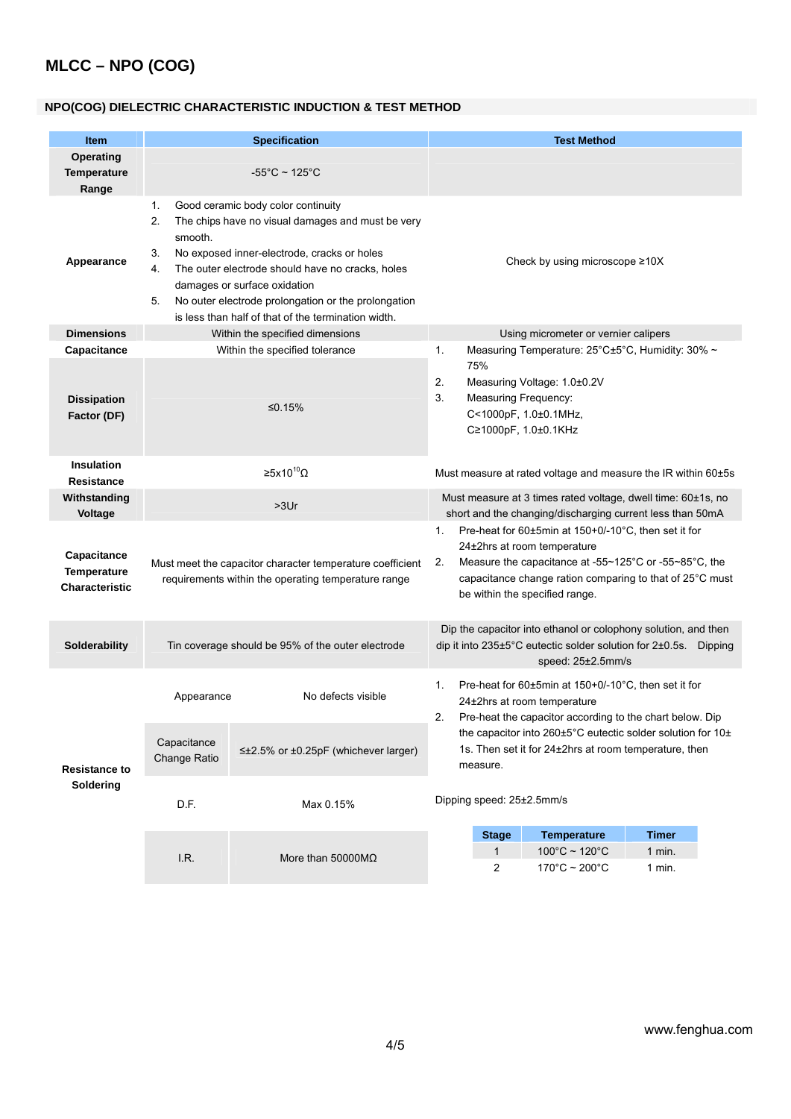### **NPO(COG) DIELECTRIC CHARACTERISTIC INDUCTION & TEST METHOD**

| <b>Item</b>                                         |                                                                     | <b>Specification</b>                                                                                                                                                                                                                                                                                                                                                                                                     |                                                                                                                                                                                                                                                        |                                                               | <b>Test Method</b>                                                                                                                                      |              |  |  |
|-----------------------------------------------------|---------------------------------------------------------------------|--------------------------------------------------------------------------------------------------------------------------------------------------------------------------------------------------------------------------------------------------------------------------------------------------------------------------------------------------------------------------------------------------------------------------|--------------------------------------------------------------------------------------------------------------------------------------------------------------------------------------------------------------------------------------------------------|---------------------------------------------------------------|---------------------------------------------------------------------------------------------------------------------------------------------------------|--------------|--|--|
| <b>Operating</b>                                    |                                                                     |                                                                                                                                                                                                                                                                                                                                                                                                                          |                                                                                                                                                                                                                                                        |                                                               |                                                                                                                                                         |              |  |  |
| <b>Temperature</b>                                  |                                                                     | $-55^{\circ}$ C ~ 125 $^{\circ}$ C                                                                                                                                                                                                                                                                                                                                                                                       |                                                                                                                                                                                                                                                        |                                                               |                                                                                                                                                         |              |  |  |
| Range                                               |                                                                     |                                                                                                                                                                                                                                                                                                                                                                                                                          |                                                                                                                                                                                                                                                        |                                                               |                                                                                                                                                         |              |  |  |
| Appearance                                          | 1.<br>2.<br>smooth.<br>3.<br>4.<br>5.                               | Good ceramic body color continuity<br>The chips have no visual damages and must be very<br>No exposed inner-electrode, cracks or holes<br>Check by using microscope $\geq 10X$<br>The outer electrode should have no cracks, holes<br>damages or surface oxidation<br>No outer electrode prolongation or the prolongation<br>is less than half of that of the termination width.<br>Using micrometer or vernier calipers |                                                                                                                                                                                                                                                        |                                                               |                                                                                                                                                         |              |  |  |
| <b>Dimensions</b>                                   |                                                                     | Within the specified dimensions                                                                                                                                                                                                                                                                                                                                                                                          |                                                                                                                                                                                                                                                        |                                                               |                                                                                                                                                         |              |  |  |
| Capacitance<br><b>Dissipation</b><br>Factor (DF)    |                                                                     | Within the specified tolerance<br>≤0.15%                                                                                                                                                                                                                                                                                                                                                                                 | 1.<br>2.<br>3.                                                                                                                                                                                                                                         | 75%<br><b>Measuring Frequency:</b>                            | Measuring Temperature: 25°C±5°C, Humidity: 30% ~<br>Measuring Voltage: 1.0±0.2V<br>C<1000pF, 1.0±0.1MHz,<br>C≥1000pF, 1.0±0.1KHz                        |              |  |  |
| Insulation                                          | ≥5x10 <sup>10</sup> Ω                                               |                                                                                                                                                                                                                                                                                                                                                                                                                          |                                                                                                                                                                                                                                                        | Must measure at rated voltage and measure the IR within 60±5s |                                                                                                                                                         |              |  |  |
| <b>Resistance</b>                                   |                                                                     |                                                                                                                                                                                                                                                                                                                                                                                                                          |                                                                                                                                                                                                                                                        |                                                               |                                                                                                                                                         |              |  |  |
| Withstanding                                        | >3Ur                                                                |                                                                                                                                                                                                                                                                                                                                                                                                                          |                                                                                                                                                                                                                                                        |                                                               | Must measure at 3 times rated voltage, dwell time: 60±1s, no                                                                                            |              |  |  |
| Voltage                                             |                                                                     |                                                                                                                                                                                                                                                                                                                                                                                                                          |                                                                                                                                                                                                                                                        | short and the changing/discharging current less than 50mA     |                                                                                                                                                         |              |  |  |
| Capacitance<br>Temperature<br><b>Characteristic</b> |                                                                     | Must meet the capacitor character temperature coefficient<br>requirements within the operating temperature range                                                                                                                                                                                                                                                                                                         | Pre-heat for 60±5min at 150+0/-10°C, then set it for<br>1.<br>24±2hrs at room temperature<br>2.<br>Measure the capacitance at -55~125°C or -55~85°C, the<br>capacitance change ration comparing to that of 25°C must<br>be within the specified range. |                                                               |                                                                                                                                                         |              |  |  |
| Solderability                                       |                                                                     | Tin coverage should be 95% of the outer electrode                                                                                                                                                                                                                                                                                                                                                                        |                                                                                                                                                                                                                                                        |                                                               | Dip the capacitor into ethanol or colophony solution, and then<br>dip it into 235±5°C eutectic solder solution for 2±0.5s. Dipping<br>speed: 25±2.5mm/s |              |  |  |
|                                                     | Appearance                                                          | No defects visible                                                                                                                                                                                                                                                                                                                                                                                                       | Pre-heat for 60±5min at 150+0/-10°C, then set it for<br>1.<br>24±2hrs at room temperature<br>Pre-heat the capacitor according to the chart below. Dip                                                                                                  |                                                               |                                                                                                                                                         |              |  |  |
| <b>Resistance to</b>                                | Capacitance<br>≤±2.5% or ±0.25pF (whichever larger)<br>Change Ratio |                                                                                                                                                                                                                                                                                                                                                                                                                          | the capacitor into 260±5°C eutectic solder solution for 10±<br>1s. Then set it for 24±2hrs at room temperature, then<br>measure.                                                                                                                       |                                                               |                                                                                                                                                         |              |  |  |
| Soldering                                           | D.F.                                                                | Max 0.15%                                                                                                                                                                                                                                                                                                                                                                                                                | Dipping speed: 25±2.5mm/s                                                                                                                                                                                                                              |                                                               |                                                                                                                                                         |              |  |  |
|                                                     |                                                                     |                                                                                                                                                                                                                                                                                                                                                                                                                          |                                                                                                                                                                                                                                                        | <b>Stage</b>                                                  | <b>Temperature</b>                                                                                                                                      | <b>Timer</b> |  |  |
|                                                     | I.R.                                                                | More than 50000M $\Omega$                                                                                                                                                                                                                                                                                                                                                                                                |                                                                                                                                                                                                                                                        | $\mathbf{1}$                                                  | $100^{\circ}$ C ~ 120 $^{\circ}$ C                                                                                                                      | $1$ min.     |  |  |
|                                                     |                                                                     |                                                                                                                                                                                                                                                                                                                                                                                                                          |                                                                                                                                                                                                                                                        | 2                                                             | $170^{\circ}$ C ~ 200 $^{\circ}$ C                                                                                                                      | 1 min.       |  |  |